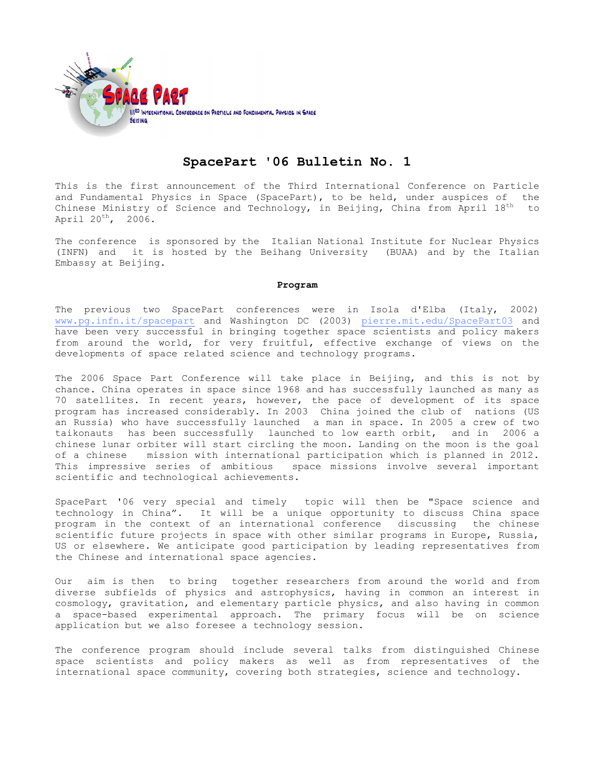

# **SpacePart '06 Bulletin No. 1**

This is the first announcement of the Third International Conference on Particle and Fundamental Physics in Space (SpacePart), to be held, under auspices of the Chinese Ministry of Science and Technology, in Beijing, China from April  $18^{th}$  to April 20<sup>th</sup>, 2006.

The conference is sponsored by the Italian National Institute for Nuclear Physics (INFN) and it is hosted by the Beihang University (BUAA) and by the Italian Embassy at Beijing.

## **Program**

The previous two SpacePart conferences were in Isola d'Elba (Italy, 2002) www.pg.infn.it/spacepart and Washington DC (2003) pierre.mit.edu/SpacePart03 and have been very successful in bringing together space scientists and policy makers from around the world, for very fruitful, effective exchange of views on the developments of space related science and technology programs.

The 2006 Space Part Conference will take place in Beijing, and this is not by chance. China operates in space since 1968 and has successfully launched as many as 70 satellites. In recent years, however, the pace of development of its space program has increased considerably. In 2003 China joined the club of nations (US an Russia) who have successfully launched a man in space. In 2005 a crew of two taikonauts has been successfully launched to low earth orbit, and in 2006 a chinese lunar orbiter will start circling the moon. Landing on the moon is the goal of a chinese mission with international participation which is planned in 2012.<br>This impressive series of ambitious space missions involve several important space missions involve several important scientific and technological achievements.

SpacePart '06 very special and timely topic will then be "Space science and technology in China". It will be a unique opportunity to discuss China space<br>program in the context of an international conference discussing the chinese program in the context of an international conference discussing scientific future projects in space with other similar programs in Europe, Russia, US or elsewhere. We anticipate good participation by leading representatives from the Chinese and international space agencies.

Our aim is then to bring together researchers from around the world and from diverse subfields of physics and astrophysics, having in common an interest in cosmology, gravitation, and elementary particle physics, and also having in common a space-based experimental approach. The primary focus will be on science application but we also foresee a technology session.

The conference program should include several talks from distinguished Chinese space scientists and policy makers as well as from representatives of the international space community, covering both strategies, science and technology.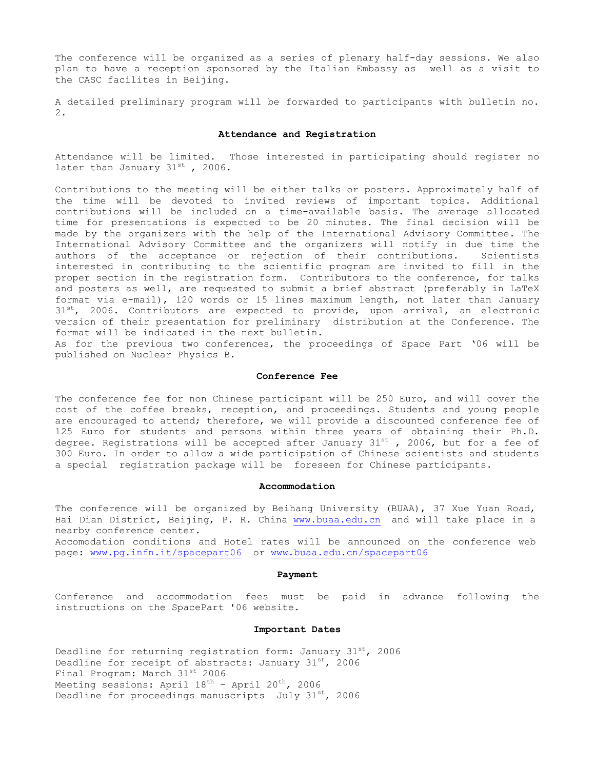The conference will be organized as a series of plenary half-day sessions. We also plan to have a reception sponsored by the Italian Embassy as well as a visit to the CASC facilites in Beijing.

A detailed preliminary program will be forwarded to participants with bulletin no. 2.

### **Attendance and Registration**

Attendance will be limited. Those interested in participating should register no later than January  $31^{st}$ , 2006.

Contributions to the meeting will be either talks or posters. Approximately half of the time will be devoted to invited reviews of important topics. Additional contributions will be included on a time-available basis. The average allocated time for presentations is expected to be 20 minutes. The final decision will be made by the organizers with the help of the International Advisory Committee. The International Advisory Committee and the organizers will notify in due time the authors of the acceptance or rejection of their contributions. Scientists interested in contributing to the scientific program are invited to fill in the proper section in the registration form. Contributors to the conference, for talks and posters as well, are requested to submit a brief abstract (preferably in LaTeX format via e-mail), 120 words or 15 lines maximum length, not later than January 31<sup>st</sup>, 2006. Contributors are expected to provide, upon arrival, an electronic version of their presentation for preliminary distribution at the Conference. The format will be indicated in the next bulletin.

As for the previous two conferences, the proceedings of Space Part '06 will be published on Nuclear Physics B.

#### **Conference Fee**

The conference fee for non Chinese participant will be 250 Euro, and will cover the cost of the coffee breaks, reception, and proceedings. Students and young people are encouraged to attend; therefore, we will provide a discounted conference fee of 125 Euro for students and persons within three years of obtaining their Ph.D. degree. Registrations will be accepted after January  $31^{st}$ , 2006, but for a fee of 300 Euro. In order to allow a wide participation of Chinese scientists and students a special registration package will be foreseen for Chinese participants.

#### **Accommodation**

The conference will be organized by Beihang University (BUAA), 37 Xue Yuan Road, Hai Dian District, Beijing, P. R. China [www.buaa.edu.cn](http://www.buaa.edu.cn/) and will take place in a nearby conference center.

Accomodation conditions and Hotel rates will be announced on the conference web page: [www.pg.infn.it/spacepart06](http://www.pg.infn.it/spacepart06) or [www.buaa.edu.cn/spacepart06](http://www.buaa.edu.cn/spacepart06)

#### **Payment**

Conference and accommodation fees must be paid in advance following the instructions on the SpacePart '06 website.

## **Important Dates**

Deadline for returning registration form: January  $31^{st}$ , 2006 Deadline for receipt of abstracts: January  $31^{st}$ , 2006 Final Program: March 31st 2006 Meeting sessions: April  $18^{th}$  - April  $20^{th}$ , 2006 Deadline for proceedings manuscripts July  $31^{st}$ , 2006